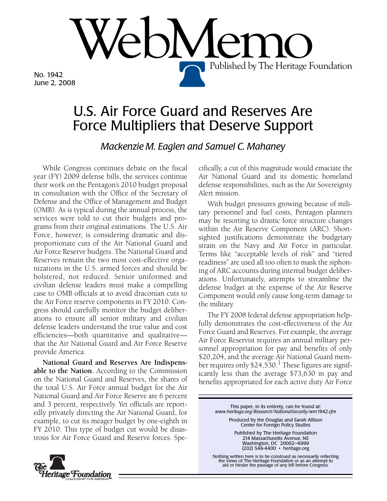No. 1942 June 2, 2008

## U.S. Air Force Guard and Reserves Are Force Multipliers that Deserve Support

 $\mathsf{PNN}$ 

*Mackenzie M. Eaglen and Samuel C. Mahaney*

While Congress continues debate on the fiscal year (FY) 2009 defense bills, the services continue their work on the Pentagon's 2010 budget proposal in consultation with the Office of the Secretary of Defense and the Office of Management and Budget (OMB). As is typical during the annual process, the services were told to cut their budgets and programs from their original estimations. The U.S. Air Force, however, is considering dramatic and disproportionate cuts of the Air National Guard and Air Force Reserve budgets. The National Guard and Reserves remain the two most cost-effective organizations in the U.S. armed forces and should be bolstered, not reduced. Senior uniformed and civilian defense leaders must make a compelling case to OMB officials at to avoid draconian cuts to the Air Force reserve components in FY 2010. Congress should carefully monitor the budget deliberations to ensure all senior military and civilian defense leaders understand the true value and cost efficiencies—both quantitative and qualitative that the Air National Guard and Air Force Reserve provide America.

**National Guard and Reserves Are Indispensable to the Nation.** According to the Commission on the National Guard and Reserves, the shares of the total U.S. Air Force annual budget for the Air National Guard and Air Force Reserve are 6 percent and 3 percent, respectively. Yet officials are reportedly privately directing the Air National Guard, for example, to cut its meager budget by one-eighth in FY 2010. This type of budget cut would be disastrous for Air Force Guard and Reserve forces. Spe-



Published by The Heritage Foundation

With budget pressures growing because of military personnel and fuel costs, Pentagon planners may be resorting to drastic force structure changes within the Air Reserve Component (ARC). Shortsighted justifications demonstrate the budgetary strain on the Navy and Air Force in particular. Terms like "acceptable levels of risk" and "tiered readiness" are used all too often to mask the siphoning of ARC accounts during internal budget deliberations. Unfortunately, attempts to streamline the defense budget at the expense of the Air Reserve Component would only cause long-term damage to the military.

The FY 2008 federal defense appropriation helpfully demonstrates the cost-effectiveness of the Air Force Guard and Reserves. For example, the average Air Force Reservist requires an annual military personnel appropriation for pay and benefits of only \$20,204, and the average Air National Guard member requires only  $$24,530$ .<sup>1</sup> These figures are significantly less than the average \$73,630 in pay and benefits appropriated for each active duty Air Force

> This paper, in its entirety, can be found at: *www.heritage.org/Research/NationalSecurity/wm1942.cfm*

Produced by the Douglas and Sarah Allison Center for Foreign Policy Studies

Published by The Heritage Foundation 214 Massachusetts Avenue, NE Washington, DC 20002–4999 (202) 546-4400 • heritage.org

Nothing written here is to be construed as necessarily reflecting the views of The Heritage Foundation or as an attempt to aid or hinder the passage of any bill before Congress.

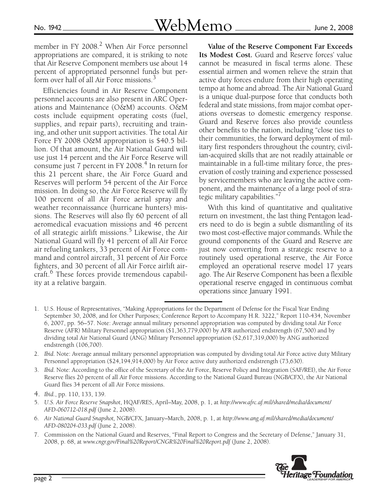member in FY 2008.<sup>2</sup> When Air Force personnel appropriations are compared, it is striking to note that Air Reserve Component members use about 14 percent of appropriated personnel funds but perform over half of all Air Force missions.<sup>3</sup>

Efficiencies found in Air Reserve Component personnel accounts are also present in ARC Operations and Maintenance (O&M) accounts. O&M costs include equipment operating costs (fuel, supplies, and repair parts), recruiting and training, and other unit support activities. The total Air Force FY 2008 O&M appropriation is \$40.5 billion. Of that amount, the Air National Guard will use just 14 percent and the Air Force Reserve will consume just  $7$  percent in FY 2008. $4$  In return for this 21 percent share, the Air Force Guard and Reserves will perform 54 percent of the Air Force mission. In doing so, the Air Force Reserve will fly 100 percent of all Air Force aerial spray and weather reconnaissance (hurricane hunters) missions. The Reserves will also fly 60 percent of all aeromedical evacuation missions and 46 percent of all strategic airlift missions.<sup>5</sup> Likewise, the Air National Guard will fly 41 percent of all Air Force air refueling tankers, 33 percent of Air Force command and control aircraft, 31 percent of Air Force fighters, and 30 percent of all Air Force airlift aircraft.<sup>6</sup> These forces provide tremendous capability at a relative bargain.

**Value of the Reserve Component Far Exceeds Its Modest Cost.** Guard and Reserve forces' value cannot be measured in fiscal terms alone. These essential airmen and women relieve the strain that active duty forces endure from their high operating tempo at home and abroad. The Air National Guard is a unique dual-purpose force that conducts both federal and state missions, from major combat operations overseas to domestic emergency response. Guard and Reserve forces also provide countless other benefits to the nation, including "close ties to their communities, the forward deployment of military first responders throughout the country, civilian-acquired skills that are not readily attainable or maintainable in a full-time military force, the preservation of costly training and experience possessed by servicemembers who are leaving the active component, and the maintenance of a large pool of strategic military capabilities."

With this kind of quantitative and qualitative return on investment, the last thing Pentagon leaders need to do is begin a subtle dismantling of its two most cost-effective major commands. While the ground components of the Guard and Reserve are just now converting from a strategic reserve to a routinely used operational reserve, the Air Force employed an operational reserve model 17 years ago. The Air Reserve Component has been a flexible operational reserve engaged in continuous combat operations since January 1991.

3. *Ibid*. Note: According to the office of the Secretary of the Air Force, Reserve Policy and Integration (SAF/REI), the Air Force Reserve flies 20 percent of all Air Force missions. According to the National Guard Bureau (NGB/CFX), the Air National Guard flies 34 percent of all Air Force missions.

- 6. *Air National Guard Snapshot,* NGB/CFX, January–March, 2008, p. 1, at *http://www.ang.af.mil/shared/media/document/ AFD-080204-033.pdf* (June 2, 2008).
- 7. Commission on the National Guard and Reserves, "Final Report to Congress and the Secretary of Defense," January 31, 2008, p. 68, at *www.cngr.gov/Final%20Report/CNGR%20Final%20Report.pdf* (June 2, 2008).



<sup>1.</sup> U.S. House of Representatives, "Making Appropriations for the Department of Defense for the Fiscal Year Ending September 30, 2008, and for Other Purposes; Conference Report to Accompany H.R. 3222," Report 110-434, November 6, 2007, pp. 56–57. Note: Average annual military personnel appropriation was computed by dividing total Air Force Reserve (AFR) Military Personnel appropriation (\$1,363,779,000) by AFR authorized endstrength (67,500) and by dividing total Air National Guard (ANG) Military Personnel appropriation (\$2,617,319,000) by ANG authorized endstrength (106,700).

<sup>2.</sup> *Ibid*. Note: Average annual military personnel appropriation was computed by dividing total Air Force active duty Military Personnel appropriation (\$24,194,914,000) by Air Force active duty authorized endstrength (73,630).

<sup>4.</sup> *Ibid*., pp. 110, 133, 139.

<sup>5.</sup> *U.S. Air Force Reserve Snapshot*, HQAF/RES, April–May, 2008, p. 1, at *http://www.afrc.af.mil/shared/media/document/ AFD-060712-018.pdf* (June 2, 2008).